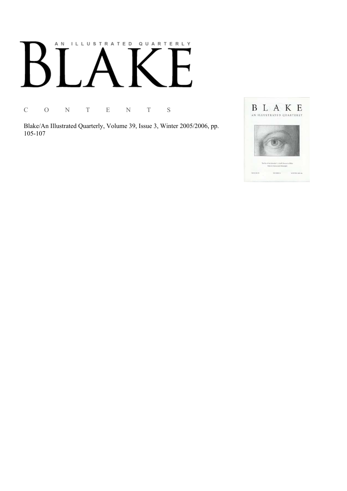## AN ILLUSTRATED QUARTERLY

C O N T E N T S

Blake/An Illustrated Quarterly, Volume 39, Issue 3, Winter 2005/2006, pp. 105-107

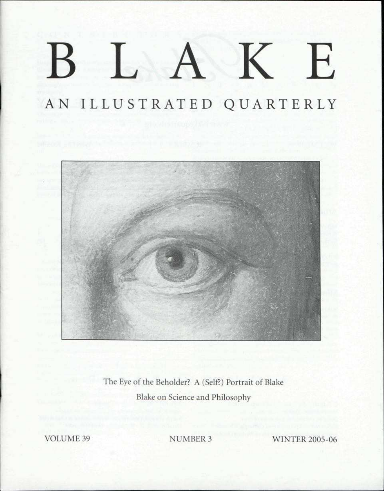# BLAK E

### AN ILLUSTRATED QUARTERLY



The Eye of the Beholder? A (Self?) Portrait of Blake Blake on Science and Philosophy

VOLUME 39 NUMBER 3 WINTER 2005-06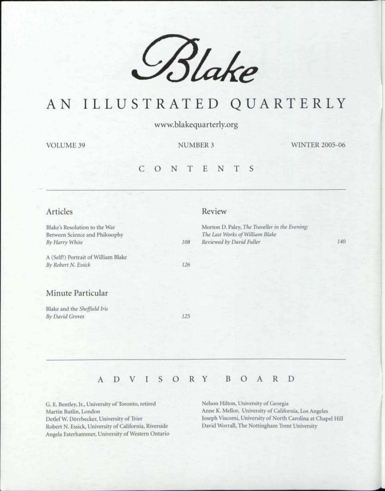

## AN ILLUSTRATE D Q U A R T E R L Y

www.blakequarterly.org

VOLUME 39 NUMBER 3 WINTER 2005-06

#### CONTENT S

| Articles                                                                          |     | Review                                                                                                        |     |
|-----------------------------------------------------------------------------------|-----|---------------------------------------------------------------------------------------------------------------|-----|
| Blake's Resolution to the War<br>Between Science and Philosophy<br>By Harry White | 108 | Morton D. Paley, The Traveller in the Evening:<br>The Last Works of William Blake<br>Reviewed by David Fuller | 140 |
| A (Self?) Portrait of William Blake<br>By Robert N. Essick                        | 126 |                                                                                                               |     |
| Minute Particular                                                                 |     |                                                                                                               |     |
| Blake and the Sheffield Iris<br>By David Groves                                   | 125 |                                                                                                               |     |
|                                                                                   |     |                                                                                                               |     |

### ADVISOR Y BOAR D

G. E. Bentley, Jr., University of Toronto, retired Martin Butlin, London Detlef W. Dorrbecker, University of Trier Robert N. Essick, University of California, Riverside Angela Esterhanuner, University of Western Ontario Nelson Hilton, University of Georgia Anne K. Mellor, University of California, Los Angeles Joseph Viscomi, University of North Carolina at Chapel Hill David Worrall, The Nottingham Trent University